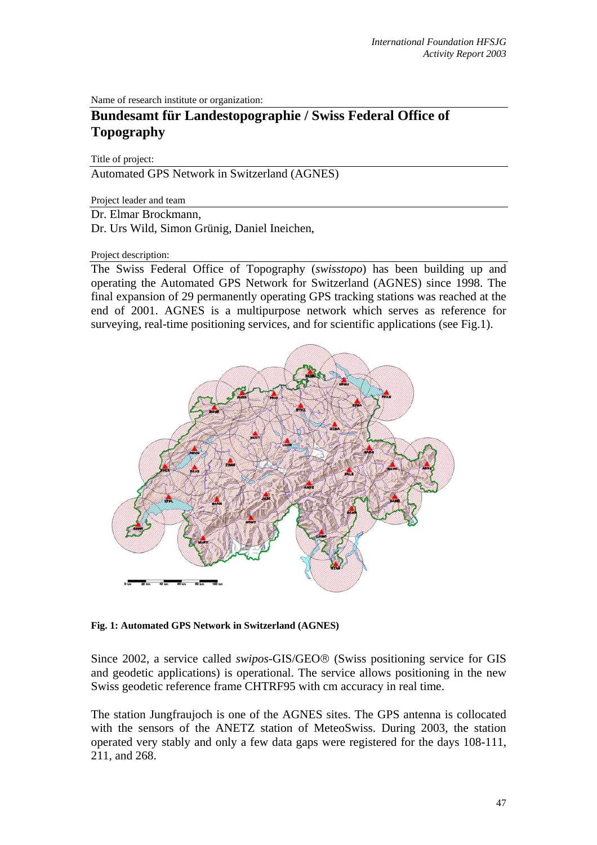Name of research institute or organization:

# **Bundesamt für Landestopographie / Swiss Federal Office of Topography**

Title of project:

Automated GPS Network in Switzerland (AGNES)

Project leader and team

Dr. Elmar Brockmann,

Dr. Urs Wild, Simon Grünig, Daniel Ineichen,

#### Project description:

The Swiss Federal Office of Topography (*swisstopo*) has been building up and operating the Automated GPS Network for Switzerland (AGNES) since 1998. The final expansion of 29 permanently operating GPS tracking stations was reached at the end of 2001. AGNES is a multipurpose network which serves as reference for surveying, real-time positioning services, and for scientific applications (see Fig.1).



**Fig. 1: Automated GPS Network in Switzerland (AGNES)** 

Since 2002, a service called *swipos-*GIS/GEO® (Swiss positioning service for GIS and geodetic applications) is operational. The service allows positioning in the new Swiss geodetic reference frame CHTRF95 with cm accuracy in real time.

The station Jungfraujoch is one of the AGNES sites. The GPS antenna is collocated with the sensors of the ANETZ station of MeteoSwiss. During 2003, the station operated very stably and only a few data gaps were registered for the days 108-111, 211, and 268.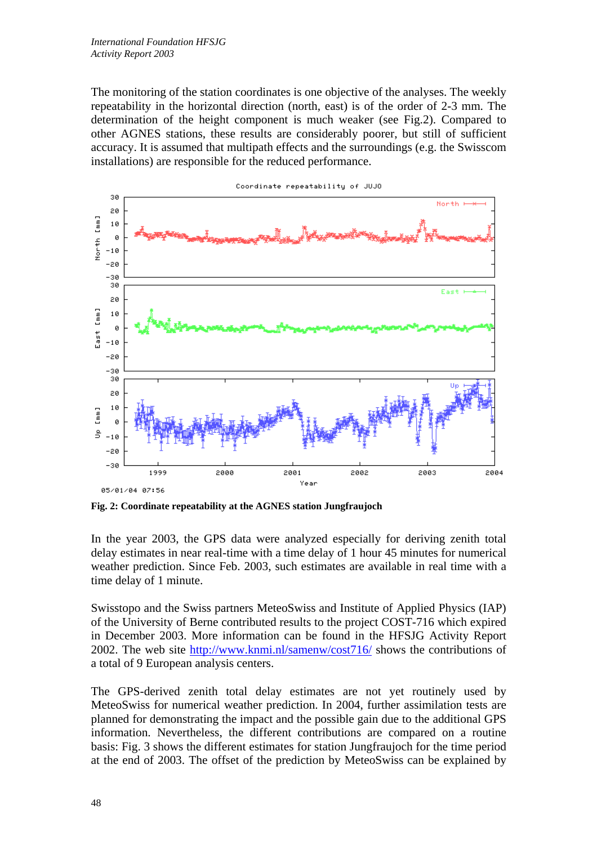The monitoring of the station coordinates is one objective of the analyses. The weekly repeatability in the horizontal direction (north, east) is of the order of 2-3 mm. The determination of the height component is much weaker (see Fig.2). Compared to other AGNES stations, these results are considerably poorer, but still of sufficient accuracy. It is assumed that multipath effects and the surroundings (e.g. the Swisscom installations) are responsible for the reduced performance.



**Fig. 2: Coordinate repeatability at the AGNES station Jungfraujoch** 

In the year 2003, the GPS data were analyzed especially for deriving zenith total delay estimates in near real-time with a time delay of 1 hour 45 minutes for numerical weather prediction. Since Feb. 2003, such estimates are available in real time with a time delay of 1 minute.

Swisstopo and the Swiss partners MeteoSwiss and Institute of Applied Physics (IAP) of the University of Berne contributed results to the project COST-716 which expired in December 2003. More information can be found in the HFSJG Activity Report 2002. The web site <http://www.knmi.nl/samenw/cost716/>shows the contributions of a total of 9 European analysis centers.

The GPS-derived zenith total delay estimates are not yet routinely used by MeteoSwiss for numerical weather prediction. In 2004, further assimilation tests are planned for demonstrating the impact and the possible gain due to the additional GPS information. Nevertheless, the different contributions are compared on a routine basis: Fig. 3 shows the different estimates for station Jungfraujoch for the time period at the end of 2003. The offset of the prediction by MeteoSwiss can be explained by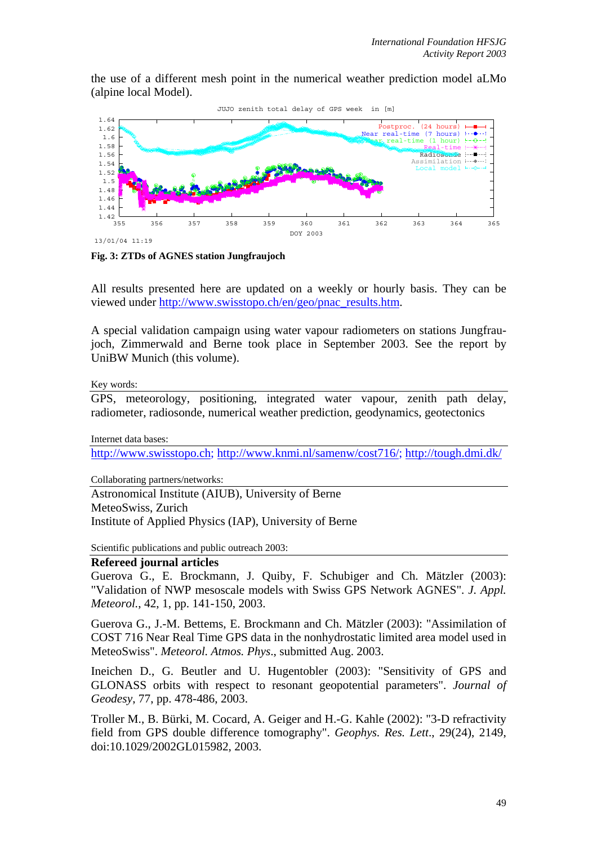the use of a different mesh point in the numerical weather prediction model aLMo (alpine local Model).



**Fig. 3: ZTDs of AGNES station Jungfraujoch**

All results presented here are updated on a weekly or hourly basis. They can be viewed under [http://www.swisstopo.ch/en/geo/pnac\\_results.htm](http://www.swisstopo.ch/de/geo/pnac_results.htm).

A special validation campaign using water vapour radiometers on stations Jungfraujoch, Zimmerwald and Berne took place in September 2003. See the report by UniBW Munich (this volume).

Key words:

GPS, meteorology, positioning, integrated water vapour, zenith path delay, radiometer, radiosonde, numerical weather prediction, geodynamics, geotectonics

Internet data bases:

[http://www.swisstopo.ch](http://www.swisstopo.ch/); [http://www.knmi.nl/samenw/cost716/;](http://www.knmi.nl/samenw/cost716/) http://tough.dmi.dk/

Collaborating partners/networks:

Astronomical Institute (AIUB), University of Berne MeteoSwiss, Zurich Institute of Applied Physics (IAP), University of Berne

Scientific publications and public outreach 2003:

### **Refereed journal articles**

Guerova G., E. Brockmann, J. Quiby, F. Schubiger and Ch. Mätzler (2003): "Validation of NWP mesoscale models with Swiss GPS Network AGNES". *J. Appl. Meteorol.*, 42, 1, pp. 141-150, 2003.

Guerova G., J.-M. Bettems, E. Brockmann and Ch. Mätzler (2003): "Assimilation of COST 716 Near Real Time GPS data in the nonhydrostatic limited area model used in MeteoSwiss". *Meteorol. Atmos. Phys*., submitted Aug. 2003.

Ineichen D., G. Beutler and U. Hugentobler (2003): "Sensitivity of GPS and GLONASS orbits with respect to resonant geopotential parameters". *Journal of Geodesy*, 77, pp. 478-486, 2003.

Troller M., B. Bürki, M. Cocard, A. Geiger and H.-G. Kahle (2002): "3-D refractivity field from GPS double difference tomography". *Geophys. Res. Lett*., 29(24), 2149, doi:10.1029/2002GL015982, 2003.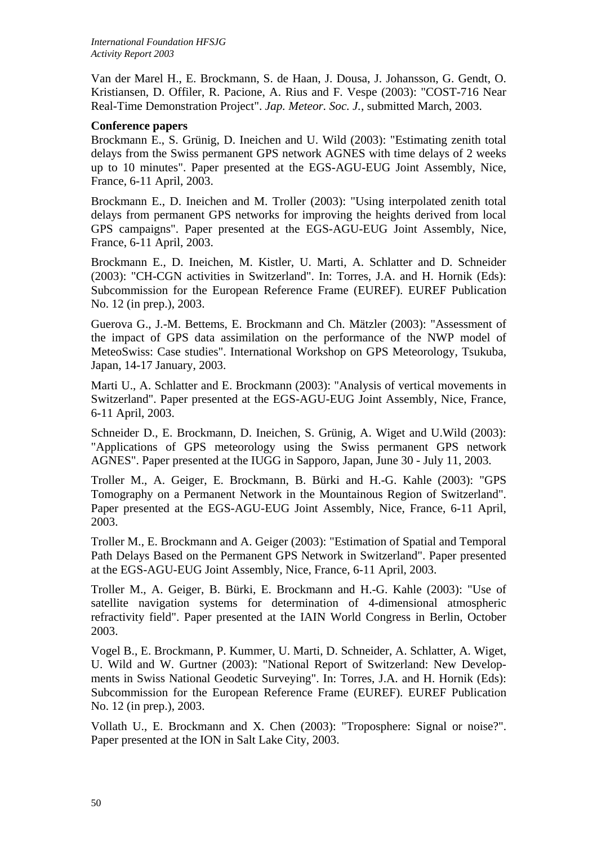Van der Marel H., E. Brockmann, S. de Haan, J. Dousa, J. Johansson, G. Gendt, O. Kristiansen, D. Offiler, R. Pacione, A. Rius and F. Vespe (2003): "COST-716 Near Real-Time Demonstration Project". *Jap. Meteor. Soc. J.*, submitted March, 2003.

## **Conference papers**

Brockmann E., S. Grünig, D. Ineichen and U. Wild (2003): "Estimating zenith total delays from the Swiss permanent GPS network AGNES with time delays of 2 weeks up to 10 minutes". Paper presented at the EGS-AGU-EUG Joint Assembly, Nice, France, 6-11 April, 2003.

Brockmann E., D. Ineichen and M. Troller (2003): "Using interpolated zenith total delays from permanent GPS networks for improving the heights derived from local GPS campaigns". Paper presented at the EGS-AGU-EUG Joint Assembly, Nice, France, 6-11 April, 2003.

Brockmann E., D. Ineichen, M. Kistler, U. Marti, A. Schlatter and D. Schneider (2003): "CH-CGN activities in Switzerland". In: Torres, J.A. and H. Hornik (Eds): Subcommission for the European Reference Frame (EUREF). EUREF Publication No. 12 (in prep.), 2003.

Guerova G., J.-M. Bettems, E. Brockmann and Ch. Mätzler (2003): "Assessment of the impact of GPS data assimilation on the performance of the NWP model of MeteoSwiss: Case studies". International Workshop on GPS Meteorology, Tsukuba, Japan, 14-17 January, 2003.

Marti U., A. Schlatter and E. Brockmann (2003): "Analysis of vertical movements in Switzerland". Paper presented at the EGS-AGU-EUG Joint Assembly, Nice, France, 6-11 April, 2003.

Schneider D., E. Brockmann, D. Ineichen, S. Grünig, A. Wiget and U.Wild (2003): "Applications of GPS meteorology using the Swiss permanent GPS network AGNES". Paper presented at the IUGG in Sapporo, Japan, June 30 - July 11, 2003.

Troller M., A. Geiger, E. Brockmann, B. Bürki and H.-G. Kahle (2003): "GPS Tomography on a Permanent Network in the Mountainous Region of Switzerland". Paper presented at the EGS-AGU-EUG Joint Assembly, Nice, France, 6-11 April, 2003.

Troller M., E. Brockmann and A. Geiger (2003): "Estimation of Spatial and Temporal Path Delays Based on the Permanent GPS Network in Switzerland". Paper presented at the EGS-AGU-EUG Joint Assembly, Nice, France, 6-11 April, 2003.

Troller M., A. Geiger, B. Bürki, E. Brockmann and H.-G. Kahle (2003): "Use of satellite navigation systems for determination of 4-dimensional atmospheric refractivity field". Paper presented at the IAIN World Congress in Berlin, October 2003.

Vogel B., E. Brockmann, P. Kummer, U. Marti, D. Schneider, A. Schlatter, A. Wiget, U. Wild and W. Gurtner (2003): "National Report of Switzerland: New Developments in Swiss National Geodetic Surveying". In: Torres, J.A. and H. Hornik (Eds): Subcommission for the European Reference Frame (EUREF). EUREF Publication No. 12 (in prep.), 2003.

Vollath U., E. Brockmann and X. Chen (2003): "Troposphere: Signal or noise?". Paper presented at the ION in Salt Lake City, 2003.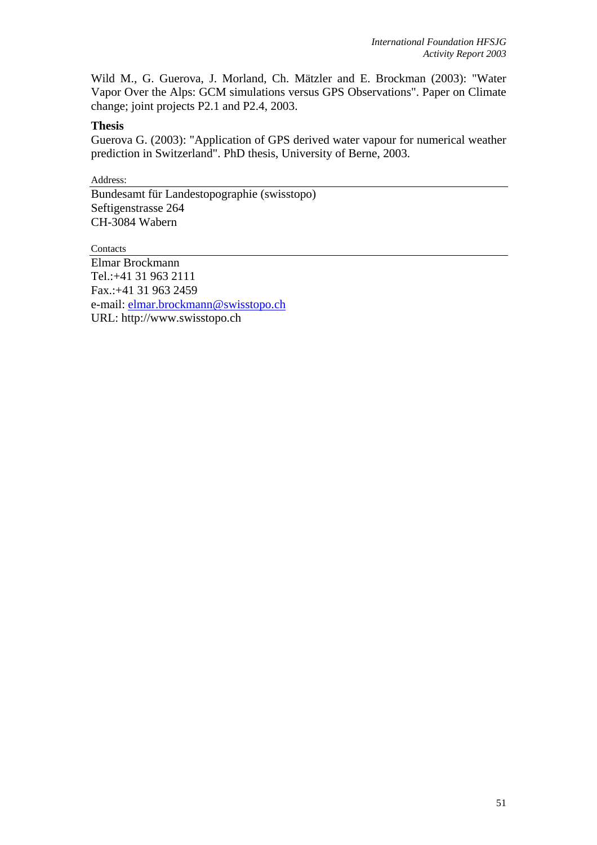Wild M., G. Guerova, J. Morland, Ch. Mätzler and E. Brockman (2003): "Water Vapor Over the Alps: GCM simulations versus GPS Observations". Paper on Climate change; joint projects P2.1 and P2.4, 2003.

## **Thesis**

Guerova G. (2003): "Application of GPS derived water vapour for numerical weather prediction in Switzerland". PhD thesis, University of Berne, 2003.

Address:

Bundesamt für Landestopographie (swisstopo) Seftigenstrasse 264 CH-3084 Wabern

**Contacts** 

Elmar Brockmann Tel.:+41 31 963 2111 Fax.:+41 31 963 2459 e-mail: [elmar.brockmann@swisstopo.ch](mailto:urs.wild@lt.admin.ch) URL: http://www.swisstopo.ch